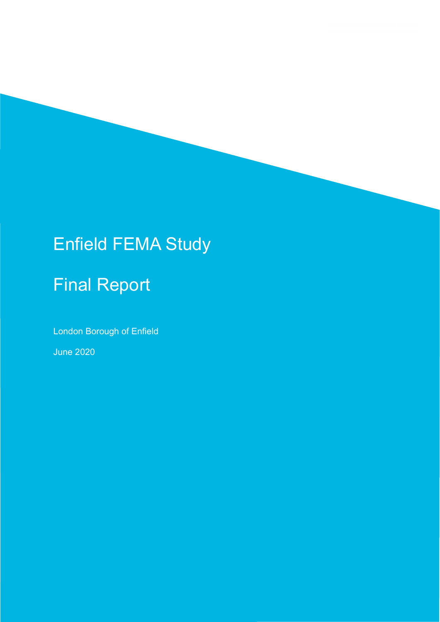# Enfield FEMA Study

# Final Report

London Borough of Enfield

June 2020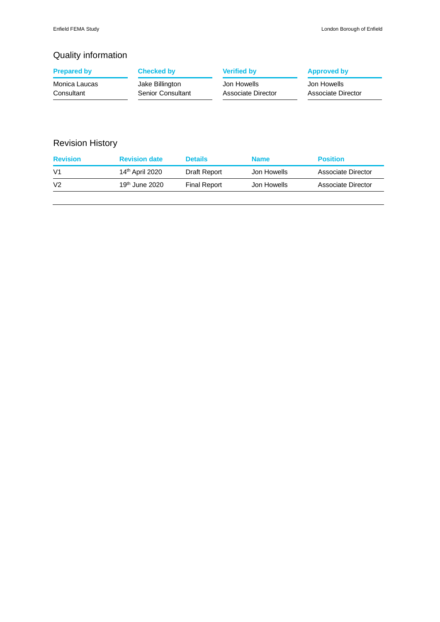## Quality information

| <b>Prepared by</b> | <b>Checked by</b> | <b>Verified by</b> | <b>Approved by</b> |
|--------------------|-------------------|--------------------|--------------------|
| Monica Laucas      | Jake Billington   | Jon Howells        | Jon Howells        |
| Consultant         | Senior Consultant | Associate Director | Associate Director |

## Revision History

| <b>Revision</b> | <b>Revision date</b>        | <b>Details</b>      | <b>Name</b> | <b>Position</b>    |
|-----------------|-----------------------------|---------------------|-------------|--------------------|
| V <sub>1</sub>  | 14 <sup>th</sup> April 2020 | Draft Report        | Jon Howells | Associate Director |
| V <sub>2</sub>  | 19 <sup>th</sup> June 2020  | <b>Final Report</b> | Jon Howells | Associate Director |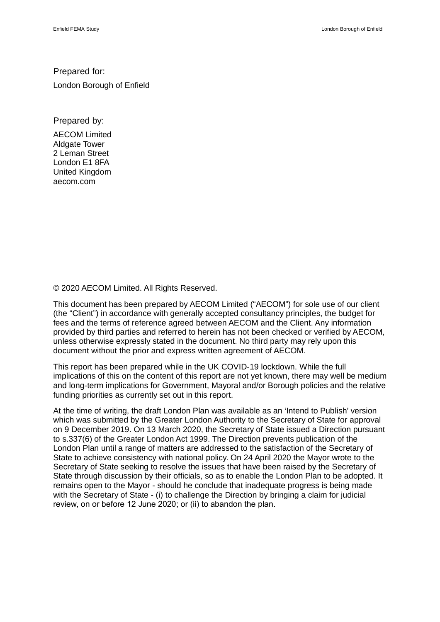### Prepared for:

London Borough of Enfield

Prepared by:

AECOM Limited Aldgate Tower 2 Leman Street London E1 8FA United Kingdom aecom.com

© 2020 AECOM Limited. All Rights Reserved.

This document has been prepared by AECOM Limited ("AECOM") for sole use of our client (the "Client") in accordance with generally accepted consultancy principles, the budget for fees and the terms of reference agreed between AECOM and the Client. Any information provided by third parties and referred to herein has not been checked or verified by AECOM, unless otherwise expressly stated in the document. No third party may rely upon this document without the prior and express written agreement of AECOM.

This report has been prepared while in the UK COVID-19 lockdown. While the full implications of this on the content of this report are not yet known, there may well be medium and long-term implications for Government, Mayoral and/or Borough policies and the relative funding priorities as currently set out in this report.

At the time of writing, the draft London Plan was available as an 'Intend to Publish' version which was submitted by the Greater London Authority to the Secretary of State for approval on 9 December 2019. On 13 March 2020, the Secretary of State issued a Direction pursuant to s.337(6) of the Greater London Act 1999. The Direction prevents publication of the London Plan until a range of matters are addressed to the satisfaction of the Secretary of State to achieve consistency with national policy. On 24 April 2020 the Mayor wrote to the Secretary of State seeking to resolve the issues that have been raised by the Secretary of State through discussion by their officials, so as to enable the London Plan to be adopted. It remains open to the Mayor - should he conclude that inadequate progress is being made with the Secretary of State - (i) to challenge the Direction by bringing a claim for judicial review, on or before 12 June 2020; or (ii) to abandon the plan.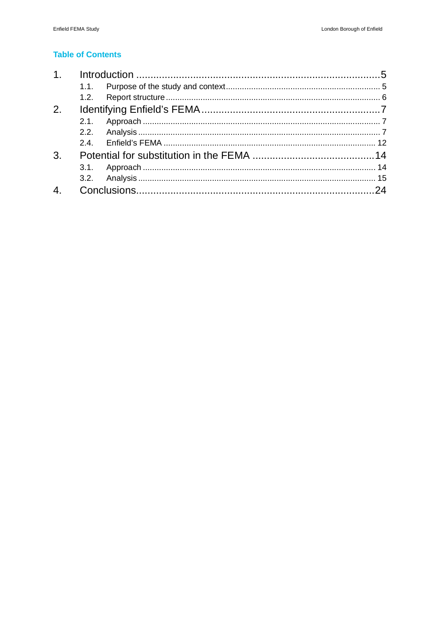### **Table of Contents**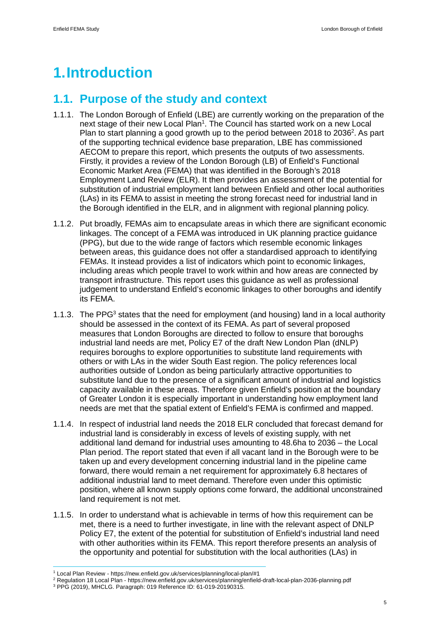# **1. Introduction**

## **1.1. Purpose of the study and context**

- 1.1.1. The London Borough of Enfield (LBE) are currently working on the preparation of the next stage of their new Local Plan<sup>1</sup>. The Council has started work on a new Local Plan to start planning a good growth up to the period between 2018 to 2036<sup>2</sup>. As part of the supporting technical evidence base preparation, LBE has commissioned AECOM to prepare this report, which presents the outputs of two assessments. Firstly, it provides a review of the London Borough (LB) of Enfield's Functional Economic Market Area (FEMA) that was identified in the Borough's 2018 Employment Land Review (ELR). It then provides an assessment of the potential for substitution of industrial employment land between Enfield and other local authorities (LAs) in its FEMA to assist in meeting the strong forecast need for industrial land in the Borough identified in the ELR, and in alignment with regional planning policy.
- 1.1.2. Put broadly, FEMAs aim to encapsulate areas in which there are significant economic linkages. The concept of a FEMA was introduced in UK planning practice guidance (PPG), but due to the wide range of factors which resemble economic linkages between areas, this guidance does not offer a standardised approach to identifying FEMAs. It instead provides a list of indicators which point to economic linkages, including areas which people travel to work within and how areas are connected by transport infrastructure. This report uses this guidance as well as professional judgement to understand Enfield's economic linkages to other boroughs and identify its FEMA.
- 1.1.3. The PPG<sup>3</sup> states that the need for employment (and housing) land in a local authority should be assessed in the context of its FEMA. As part of several proposed measures that London Boroughs are directed to follow to ensure that boroughs industrial land needs are met, Policy E7 of the draft New London Plan (dNLP) requires boroughs to explore opportunities to substitute land requirements with others or with LAs in the wider South East region. The policy references local authorities outside of London as being particularly attractive opportunities to substitute land due to the presence of a significant amount of industrial and logistics capacity available in these areas. Therefore given Enfield's position at the boundary of Greater London it is especially important in understanding how employment land needs are met that the spatial extent of Enfield's FEMA is confirmed and mapped.
- 1.1.4. In respect of industrial land needs the 2018 ELR concluded that forecast demand for industrial land is considerably in excess of levels of existing supply, with net additional land demand for industrial uses amounting to 48.6ha to 2036 – the Local Plan period. The report stated that even if all vacant land in the Borough were to be taken up and every development concerning industrial land in the pipeline came forward, there would remain a net requirement for approximately 6.8 hectares of additional industrial land to meet demand. Therefore even under this optimistic position, where all known supply options come forward, the additional unconstrained land requirement is not met.
- 1.1.5. In order to understand what is achievable in terms of how this requirement can be met, there is a need to further investigate, in line with the relevant aspect of DNLP Policy E7, the extent of the potential for substitution of Enfield's industrial land need with other authorities within its FEMA. This report therefore presents an analysis of the opportunity and potential for substitution with the local authorities (LAs) in

<sup>1</sup> Local Plan Review - https://new.enfield.gov.uk/services/planning/local-plan/#1

<sup>&</sup>lt;sup>2</sup> Regulation 18 Local Plan - https://new.enfield.gov.uk/services/planning/enfield-draft-local-plan-2036-planning.pdf

<sup>3</sup> PPG (2019), MHCLG. Paragraph: 019 Reference ID: 61-019-20190315.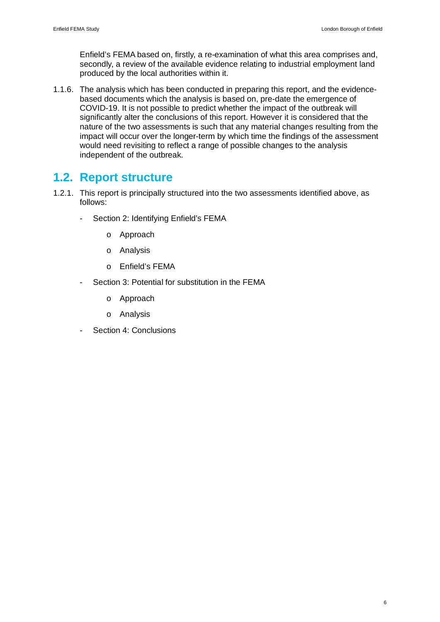Enfield's FEMA based on, firstly, a re-examination of what this area comprises and, secondly, a review of the available evidence relating to industrial employment land produced by the local authorities within it.

1.1.6. The analysis which has been conducted in preparing this report, and the evidencebased documents which the analysis is based on, pre-date the emergence of COVID-19. It is not possible to predict whether the impact of the outbreak will significantly alter the conclusions of this report. However it is considered that the nature of the two assessments is such that any material changes resulting from the impact will occur over the longer-term by which time the findings of the assessment would need revisiting to reflect a range of possible changes to the analysis independent of the outbreak.

## **1.2. Report structure**

- 1.2.1. This report is principally structured into the two assessments identified above, as follows:
	- Section 2: Identifying Enfield's FEMA
		- o Approach
		- o Analysis
		- o Enfield's FEMA
	- Section 3: Potential for substitution in the FEMA
		- o Approach
		- o Analysis
	- Section 4: Conclusions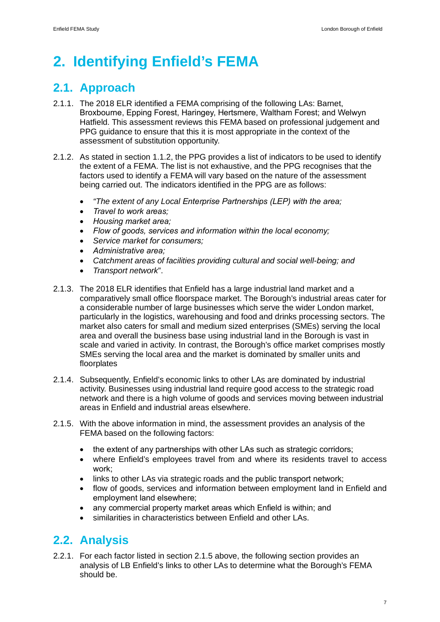# **2. Identifying Enfield's FEMA**

# **2.1. Approach**

- 2.1.1. The 2018 ELR identified a FEMA comprising of the following LAs: Barnet, Broxbourne, Epping Forest, Haringey, Hertsmere, Waltham Forest; and Welwyn Hatfield. This assessment reviews this FEMA based on professional judgement and PPG guidance to ensure that this it is most appropriate in the context of the assessment of substitution opportunity.
- 2.1.2. As stated in section 1.1.2, the PPG provides a list of indicators to be used to identify the extent of a FEMA. The list is not exhaustive, and the PPG recognises that the factors used to identify a FEMA will vary based on the nature of the assessment being carried out. The indicators identified in the PPG are as follows:
	- · *"The extent of any Local Enterprise Partnerships (LEP) with the area;*
	- · *Travel to work areas;*
	- · *Housing market area;*
	- · *Flow of goods, services and information within the local economy;*
	- · *Service market for consumers;*
	- · *Administrative area;*
	- · *Catchment areas of facilities providing cultural and social well-being; and*
	- · *Transport network*".
- 2.1.3. The 2018 ELR identifies that Enfield has a large industrial land market and a comparatively small office floorspace market. The Borough's industrial areas cater for a considerable number of large businesses which serve the wider London market, particularly in the logistics, warehousing and food and drinks processing sectors. The market also caters for small and medium sized enterprises (SMEs) serving the local area and overall the business base using industrial land in the Borough is vast in scale and varied in activity. In contrast, the Borough's office market comprises mostly SMEs serving the local area and the market is dominated by smaller units and floorplates
- 2.1.4. Subsequently, Enfield's economic links to other LAs are dominated by industrial activity. Businesses using industrial land require good access to the strategic road network and there is a high volume of goods and services moving between industrial areas in Enfield and industrial areas elsewhere.
- 2.1.5. With the above information in mind, the assessment provides an analysis of the FEMA based on the following factors:
	- the extent of any partnerships with other LAs such as strategic corridors;
	- · where Enfield's employees travel from and where its residents travel to access work;
	- links to other LAs via strategic roads and the public transport network:
	- · flow of goods, services and information between employment land in Enfield and employment land elsewhere;
	- any commercial property market areas which Enfield is within; and
	- similarities in characteristics between Enfield and other LAs.

# **2.2. Analysis**

2.2.1. For each factor listed in section 2.1.5 above, the following section provides an analysis of LB Enfield's links to other LAs to determine what the Borough's FEMA should be.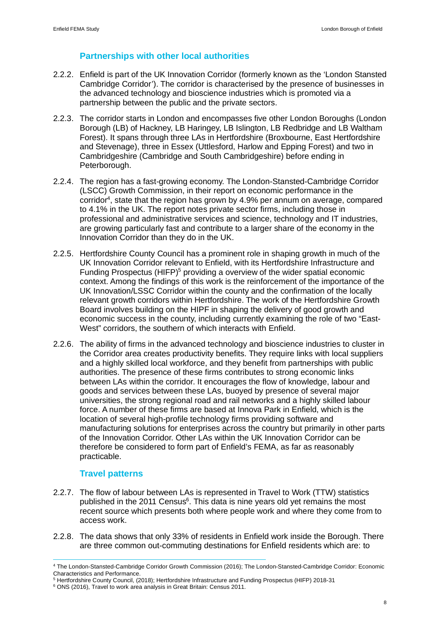### **Partnerships with other local authorities**

- 2.2.2. Enfield is part of the UK Innovation Corridor (formerly known as the 'London Stansted Cambridge Corridor'). The corridor is characterised by the presence of businesses in the advanced technology and bioscience industries which is promoted via a partnership between the public and the private sectors.
- 2.2.3. The corridor starts in London and encompasses five other London Boroughs (London Borough (LB) of Hackney, LB Haringey, LB Islington, LB Redbridge and LB Waltham Forest). It spans through three LAs in Hertfordshire (Broxbourne, East Hertfordshire and Stevenage), three in Essex (Uttlesford, Harlow and Epping Forest) and two in Cambridgeshire (Cambridge and South Cambridgeshire) before ending in Peterborough.
- 2.2.4. The region has a fast-growing economy. The London-Stansted-Cambridge Corridor (LSCC) Growth Commission, in their report on economic performance in the corridor<sup>4</sup> , state that the region has grown by 4.9% per annum on average, compared to 4.1% in the UK. The report notes private sector firms, including those in professional and administrative services and science, technology and IT industries, are growing particularly fast and contribute to a larger share of the economy in the Innovation Corridor than they do in the UK.
- 2.2.5. Hertfordshire County Council has a prominent role in shaping growth in much of the UK Innovation Corridor relevant to Enfield, with its Hertfordshire Infrastructure and Funding Prospectus (HIFP)<sup>5</sup> providing a overview of the wider spatial economic context. Among the findings of this work is the reinforcement of the importance of the UK Innovation/LSSC Corridor within the county and the confirmation of the locally relevant growth corridors within Hertfordshire. The work of the Hertfordshire Growth Board involves building on the HIPF in shaping the delivery of good growth and economic success in the county, including currently examining the role of two "East-West" corridors, the southern of which interacts with Enfield.
- 2.2.6. The ability of firms in the advanced technology and bioscience industries to cluster in the Corridor area creates productivity benefits. They require links with local suppliers and a highly skilled local workforce, and they benefit from partnerships with public authorities. The presence of these firms contributes to strong economic links between LAs within the corridor. It encourages the flow of knowledge, labour and goods and services between these LAs, buoyed by presence of several major universities, the strong regional road and rail networks and a highly skilled labour force. A number of these firms are based at Innova Park in Enfield, which is the location of several high-profile technology firms providing software and manufacturing solutions for enterprises across the country but primarily in other parts of the Innovation Corridor. Other LAs within the UK Innovation Corridor can be therefore be considered to form part of Enfield's FEMA, as far as reasonably practicable.

### **Travel patterns**

- 2.2.7. The flow of labour between LAs is represented in Travel to Work (TTW) statistics published in the 2011 Census<sup>6</sup>. This data is nine years old yet remains the most recent source which presents both where people work and where they come from to access work.
- 2.2.8. The data shows that only 33% of residents in Enfield work inside the Borough. There are three common out-commuting destinations for Enfield residents which are: to

<sup>4</sup> The London-Stansted-Cambridge Corridor Growth Commission (2016); The London-Stansted-Cambridge Corridor: Economic Characteristics and Performance. 5 Hertfordshire County Council, (2018); Hertfordshire Infrastructure and Funding Prospectus (HIFP) 2018-31

<sup>6</sup> ONS (2016), Travel to work area analysis in Great Britain: Census 2011.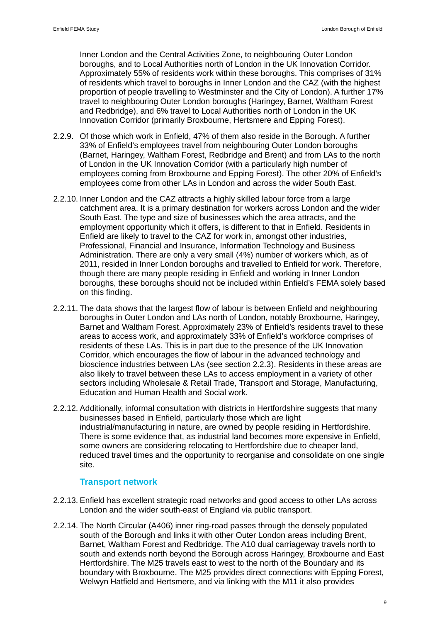Inner London and the Central Activities Zone, to neighbouring Outer London boroughs, and to Local Authorities north of London in the UK Innovation Corridor. Approximately 55% of residents work within these boroughs. This comprises of 31% of residents which travel to boroughs in Inner London and the CAZ (with the highest proportion of people travelling to Westminster and the City of London). A further 17% travel to neighbouring Outer London boroughs (Haringey, Barnet, Waltham Forest and Redbridge), and 6% travel to Local Authorities north of London in the UK Innovation Corridor (primarily Broxbourne, Hertsmere and Epping Forest).

- 2.2.9. Of those which work in Enfield, 47% of them also reside in the Borough. A further 33% of Enfield's employees travel from neighbouring Outer London boroughs (Barnet, Haringey, Waltham Forest, Redbridge and Brent) and from LAs to the north of London in the UK Innovation Corridor (with a particularly high number of employees coming from Broxbourne and Epping Forest). The other 20% of Enfield's employees come from other LAs in London and across the wider South East.
- 2.2.10. Inner London and the CAZ attracts a highly skilled labour force from a large catchment area. It is a primary destination for workers across London and the wider South East. The type and size of businesses which the area attracts, and the employment opportunity which it offers, is different to that in Enfield. Residents in Enfield are likely to travel to the CAZ for work in, amongst other industries, Professional, Financial and Insurance, Information Technology and Business Administration. There are only a very small (4%) number of workers which, as of 2011, resided in Inner London boroughs and travelled to Enfield for work. Therefore, though there are many people residing in Enfield and working in Inner London boroughs, these boroughs should not be included within Enfield's FEMA solely based on this finding.
- 2.2.11. The data shows that the largest flow of labour is between Enfield and neighbouring boroughs in Outer London and LAs north of London, notably Broxbourne, Haringey, Barnet and Waltham Forest. Approximately 23% of Enfield's residents travel to these areas to access work, and approximately 33% of Enfield's workforce comprises of residents of these LAs. This is in part due to the presence of the UK Innovation Corridor, which encourages the flow of labour in the advanced technology and bioscience industries between LAs (see section 2.2.3). Residents in these areas are also likely to travel between these LAs to access employment in a variety of other sectors including Wholesale & Retail Trade, Transport and Storage, Manufacturing, Education and Human Health and Social work.
- 2.2.12. Additionally, informal consultation with districts in Hertfordshire suggests that many businesses based in Enfield, particularly those which are light industrial/manufacturing in nature, are owned by people residing in Hertfordshire. There is some evidence that, as industrial land becomes more expensive in Enfield, some owners are considering relocating to Hertfordshire due to cheaper land, reduced travel times and the opportunity to reorganise and consolidate on one single site.

### **Transport network**

- 2.2.13. Enfield has excellent strategic road networks and good access to other LAs across London and the wider south-east of England via public transport.
- 2.2.14. The North Circular (A406) inner ring-road passes through the densely populated south of the Borough and links it with other Outer London areas including Brent, Barnet, Waltham Forest and Redbridge. The A10 dual carriageway travels north to south and extends north beyond the Borough across Haringey, Broxbourne and East Hertfordshire. The M25 travels east to west to the north of the Boundary and its boundary with Broxbourne. The M25 provides direct connections with Epping Forest, Welwyn Hatfield and Hertsmere, and via linking with the M11 it also provides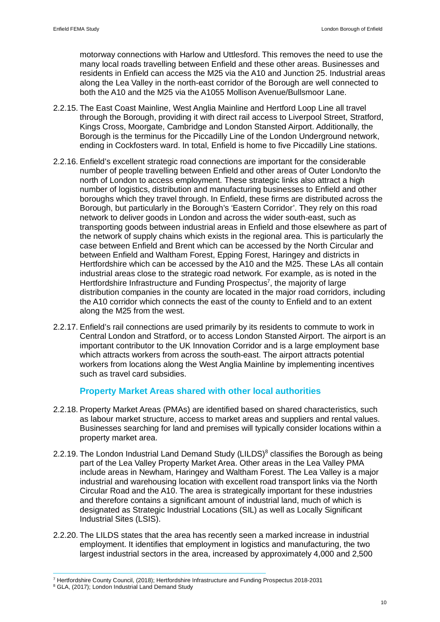motorway connections with Harlow and Uttlesford. This removes the need to use the many local roads travelling between Enfield and these other areas. Businesses and residents in Enfield can access the M25 via the A10 and Junction 25. Industrial areas along the Lea Valley in the north-east corridor of the Borough are well connected to both the A10 and the M25 via the A1055 Mollison Avenue/Bullsmoor Lane.

- 2.2.15. The East Coast Mainline, West Anglia Mainline and Hertford Loop Line all travel through the Borough, providing it with direct rail access to Liverpool Street, Stratford, Kings Cross, Moorgate, Cambridge and London Stansted Airport. Additionally, the Borough is the terminus for the Piccadilly Line of the London Underground network, ending in Cockfosters ward. In total, Enfield is home to five Piccadilly Line stations.
- 2.2.16. Enfield's excellent strategic road connections are important for the considerable number of people travelling between Enfield and other areas of Outer London/to the north of London to access employment. These strategic links also attract a high number of logistics, distribution and manufacturing businesses to Enfield and other boroughs which they travel through. In Enfield, these firms are distributed across the Borough, but particularly in the Borough's 'Eastern Corridor'. They rely on this road network to deliver goods in London and across the wider south-east, such as transporting goods between industrial areas in Enfield and those elsewhere as part of the network of supply chains which exists in the regional area. This is particularly the case between Enfield and Brent which can be accessed by the North Circular and between Enfield and Waltham Forest, Epping Forest, Haringey and districts in Hertfordshire which can be accessed by the A10 and the M25. These LAs all contain industrial areas close to the strategic road network. For example, as is noted in the Hertfordshire Infrastructure and Funding Prospectus<sup>7</sup>, the majority of large distribution companies in the county are located in the major road corridors, including the A10 corridor which connects the east of the county to Enfield and to an extent along the M25 from the west.
- 2.2.17. Enfield's rail connections are used primarily by its residents to commute to work in Central London and Stratford, or to access London Stansted Airport. The airport is an important contributor to the UK Innovation Corridor and is a large employment base which attracts workers from across the south-east. The airport attracts potential workers from locations along the West Anglia Mainline by implementing incentives such as travel card subsidies.

### **Property Market Areas shared with other local authorities**

- 2.2.18. Property Market Areas (PMAs) are identified based on shared characteristics, such as labour market structure, access to market areas and suppliers and rental values. Businesses searching for land and premises will typically consider locations within a property market area.
- 2.2.19. The London Industrial Land Demand Study (LILDS) $8$  classifies the Borough as being part of the Lea Valley Property Market Area. Other areas in the Lea Valley PMA include areas in Newham, Haringey and Waltham Forest. The Lea Valley is a major industrial and warehousing location with excellent road transport links via the North Circular Road and the A10. The area is strategically important for these industries and therefore contains a significant amount of industrial land, much of which is designated as Strategic Industrial Locations (SIL) as well as Locally Significant Industrial Sites (LSIS).
- 2.2.20. The LILDS states that the area has recently seen a marked increase in industrial employment. It identifies that employment in logistics and manufacturing, the two largest industrial sectors in the area, increased by approximately 4,000 and 2,500

<sup>&</sup>lt;sup>7</sup> Hertfordshire County Council, (2018); Hertfordshire Infrastructure and Funding Prospectus 2018-2031

<sup>&</sup>lt;sup>8</sup> GLA, (2017); London Industrial Land Demand Study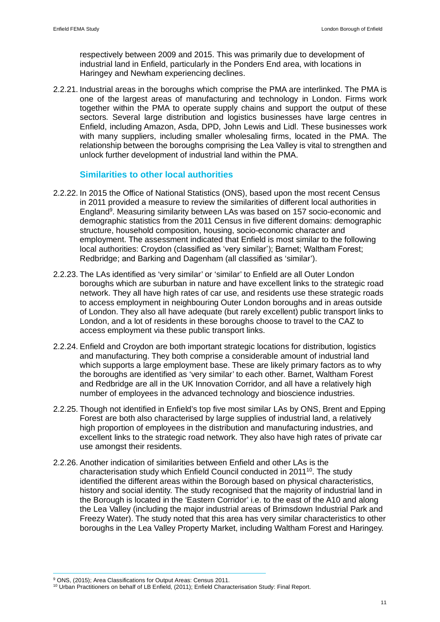respectively between 2009 and 2015. This was primarily due to development of industrial land in Enfield, particularly in the Ponders End area, with locations in Haringey and Newham experiencing declines.

2.2.21. Industrial areas in the boroughs which comprise the PMA are interlinked. The PMA is one of the largest areas of manufacturing and technology in London. Firms work together within the PMA to operate supply chains and support the output of these sectors. Several large distribution and logistics businesses have large centres in Enfield, including Amazon, Asda, DPD, John Lewis and Lidl. These businesses work with many suppliers, including smaller wholesaling firms, located in the PMA. The relationship between the boroughs comprising the Lea Valley is vital to strengthen and unlock further development of industrial land within the PMA.

### **Similarities to other local authorities**

- 2.2.22. In 2015 the Office of National Statistics (ONS), based upon the most recent Census in 2011 provided a measure to review the similarities of different local authorities in England<sup>9</sup>. Measuring similarity between LAs was based on 157 socio-economic and demographic statistics from the 2011 Census in five different domains: demographic structure, household composition, housing, socio-economic character and employment. The assessment indicated that Enfield is most similar to the following local authorities: Croydon (classified as 'very similar'); Barnet; Waltham Forest; Redbridge; and Barking and Dagenham (all classified as 'similar').
- 2.2.23. The LAs identified as 'very similar' or 'similar' to Enfield are all Outer London boroughs which are suburban in nature and have excellent links to the strategic road network. They all have high rates of car use, and residents use these strategic roads to access employment in neighbouring Outer London boroughs and in areas outside of London. They also all have adequate (but rarely excellent) public transport links to London, and a lot of residents in these boroughs choose to travel to the CAZ to access employment via these public transport links.
- 2.2.24. Enfield and Croydon are both important strategic locations for distribution, logistics and manufacturing. They both comprise a considerable amount of industrial land which supports a large employment base. These are likely primary factors as to why the boroughs are identified as 'very similar' to each other. Barnet, Waltham Forest and Redbridge are all in the UK Innovation Corridor, and all have a relatively high number of employees in the advanced technology and bioscience industries.
- 2.2.25. Though not identified in Enfield's top five most similar LAs by ONS, Brent and Epping Forest are both also characterised by large supplies of industrial land, a relatively high proportion of employees in the distribution and manufacturing industries, and excellent links to the strategic road network. They also have high rates of private car use amongst their residents.
- 2.2.26. Another indication of similarities between Enfield and other LAs is the characterisation study which Enfield Council conducted in 2011<sup>10</sup>. The study identified the different areas within the Borough based on physical characteristics, history and social identity. The study recognised that the majority of industrial land in the Borough is located in the 'Eastern Corridor' i.e. to the east of the A10 and along the Lea Valley (including the major industrial areas of Brimsdown Industrial Park and Freezy Water). The study noted that this area has very similar characteristics to other boroughs in the Lea Valley Property Market, including Waltham Forest and Haringey.

<sup>&</sup>lt;sup>9</sup> ONS, (2015); Area Classifications for Output Areas: Census 2011.

<sup>&</sup>lt;sup>10</sup> Urban Practitioners on behalf of LB Enfield, (2011); Enfield Characterisation Study: Final Report.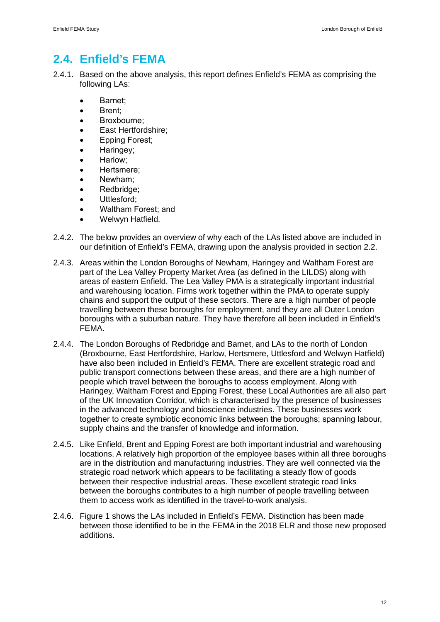## **2.4. Enfield's FEMA**

- 2.4.1. Based on the above analysis, this report defines Enfield's FEMA as comprising the following LAs:
	- · Barnet;
	- · Brent;
	- · Broxbourne;
	- East Hertfordshire;
	- Epping Forest;
	- Haringey;
	- Harlow:
	- · Hertsmere;
	- · Newham;
	- · Redbridge;
	- · Uttlesford;
	- · Waltham Forest; and
	- Welwyn Hatfield.
- 2.4.2. The below provides an overview of why each of the LAs listed above are included in our definition of Enfield's FEMA, drawing upon the analysis provided in section 2.2.
- 2.4.3. Areas within the London Boroughs of Newham, Haringey and Waltham Forest are part of the Lea Valley Property Market Area (as defined in the LILDS) along with areas of eastern Enfield. The Lea Valley PMA is a strategically important industrial and warehousing location. Firms work together within the PMA to operate supply chains and support the output of these sectors. There are a high number of people travelling between these boroughs for employment, and they are all Outer London boroughs with a suburban nature. They have therefore all been included in Enfield's FEMA.
- 2.4.4. The London Boroughs of Redbridge and Barnet, and LAs to the north of London (Broxbourne, East Hertfordshire, Harlow, Hertsmere, Uttlesford and Welwyn Hatfield) have also been included in Enfield's FEMA. There are excellent strategic road and public transport connections between these areas, and there are a high number of people which travel between the boroughs to access employment. Along with Haringey, Waltham Forest and Epping Forest, these Local Authorities are all also part of the UK Innovation Corridor, which is characterised by the presence of businesses in the advanced technology and bioscience industries. These businesses work together to create symbiotic economic links between the boroughs; spanning labour, supply chains and the transfer of knowledge and information.
- 2.4.5. Like Enfield, Brent and Epping Forest are both important industrial and warehousing locations. A relatively high proportion of the employee bases within all three boroughs are in the distribution and manufacturing industries. They are well connected via the strategic road network which appears to be facilitating a steady flow of goods between their respective industrial areas. These excellent strategic road links between the boroughs contributes to a high number of people travelling between them to access work as identified in the travel-to-work analysis.
- 2.4.6. Figure 1 shows the LAs included in Enfield's FEMA. Distinction has been made between those identified to be in the FEMA in the 2018 ELR and those new proposed additions.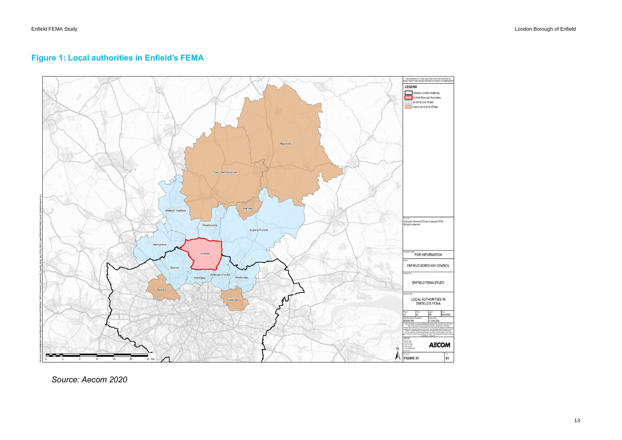### **Figure 1: Local authorities in Enfield's FEMA**



*Source: Aecom 2020*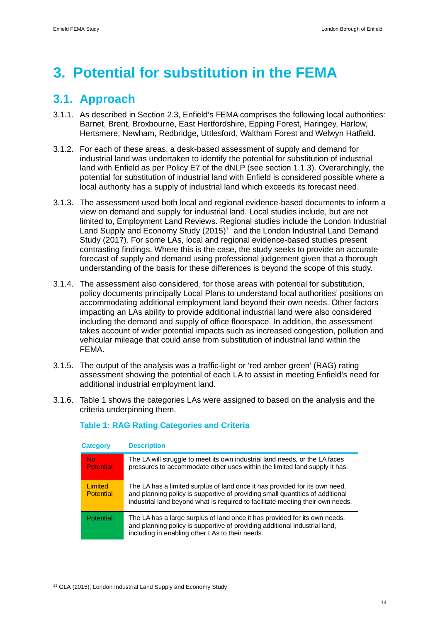# **3. Potential for substitution in the FEMA**

## **3.1. Approach**

- 3.1.1. As described in Section 2.3, Enfield's FEMA comprises the following local authorities: Barnet, Brent, Broxbourne, East Hertfordshire, Epping Forest, Haringey, Harlow, Hertsmere, Newham, Redbridge, Uttlesford, Waltham Forest and Welwyn Hatfield.
- 3.1.2. For each of these areas, a desk-based assessment of supply and demand for industrial land was undertaken to identify the potential for substitution of industrial land with Enfield as per Policy E7 of the dNLP (see section 1.1.3). Overarchingly, the potential for substitution of industrial land with Enfield is considered possible where a local authority has a supply of industrial land which exceeds its forecast need.
- 3.1.3. The assessment used both local and regional evidence-based documents to inform a view on demand and supply for industrial land. Local studies include, but are not limited to, Employment Land Reviews. Regional studies include the London Industrial Land Supply and Economy Study (2015)<sup>11</sup> and the London Industrial Land Demand Study (2017). For some LAs, local and regional evidence-based studies present contrasting findings. Where this is the case, the study seeks to provide an accurate forecast of supply and demand using professional judgement given that a thorough understanding of the basis for these differences is beyond the scope of this study.
- 3.1.4. The assessment also considered, for those areas with potential for substitution, policy documents principally Local Plans to understand local authorities' positions on accommodating additional employment land beyond their own needs. Other factors impacting an LAs ability to provide additional industrial land were also considered including the demand and supply of office floorspace. In addition, the assessment takes account of wider potential impacts such as increased congestion, pollution and vehicular mileage that could arise from substitution of industrial land within the FEMA.
- 3.1.5. The output of the analysis was a traffic-light or 'red amber green' (RAG) rating assessment showing the potential of each LA to assist in meeting Enfield's need for additional industrial employment land.
- 3.1.6. Table 1 shows the categories LAs were assigned to based on the analysis and the criteria underpinning them.

| <b>Category</b>                    | <b>Description</b>                                                                                                                                                                                                                             |
|------------------------------------|------------------------------------------------------------------------------------------------------------------------------------------------------------------------------------------------------------------------------------------------|
| <b>No</b><br><b>Potential</b>      | The LA will struggle to meet its own industrial land needs, or the LA faces<br>pressures to accommodate other uses within the limited land supply it has.                                                                                      |
| <b>Limited</b><br><b>Potential</b> | The LA has a limited surplus of land once it has provided for its own need,<br>and planning policy is supportive of providing small quantities of additional<br>industrial land beyond what is required to facilitate meeting their own needs. |
| <b>Potential</b>                   | The LA has a large surplus of land once it has provided for its own needs,<br>and planning policy is supportive of providing additional industrial land,<br>including in enabling other LAs to their needs.                                    |

### **Table 1: RAG Rating Categories and Criteria**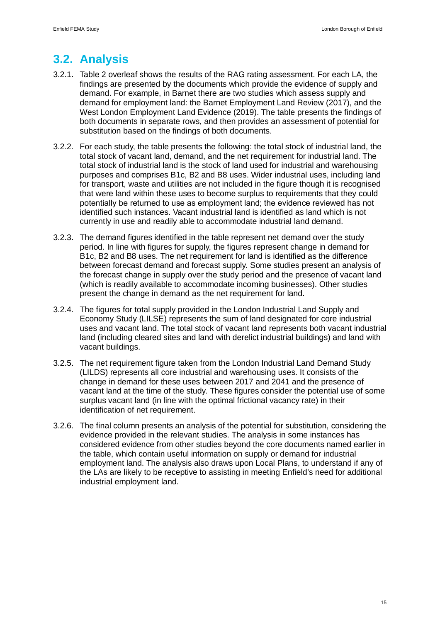# **3.2. Analysis**

- 3.2.1. Table 2 overleaf shows the results of the RAG rating assessment. For each LA, the findings are presented by the documents which provide the evidence of supply and demand. For example, in Barnet there are two studies which assess supply and demand for employment land: the Barnet Employment Land Review (2017), and the West London Employment Land Evidence (2019). The table presents the findings of both documents in separate rows, and then provides an assessment of potential for substitution based on the findings of both documents.
- 3.2.2. For each study, the table presents the following: the total stock of industrial land, the total stock of vacant land, demand, and the net requirement for industrial land. The total stock of industrial land is the stock of land used for industrial and warehousing purposes and comprises B1c, B2 and B8 uses. Wider industrial uses, including land for transport, waste and utilities are not included in the figure though it is recognised that were land within these uses to become surplus to requirements that they could potentially be returned to use as employment land; the evidence reviewed has not identified such instances. Vacant industrial land is identified as land which is not currently in use and readily able to accommodate industrial land demand.
- 3.2.3. The demand figures identified in the table represent net demand over the study period. In line with figures for supply, the figures represent change in demand for B1c, B2 and B8 uses. The net requirement for land is identified as the difference between forecast demand and forecast supply. Some studies present an analysis of the forecast change in supply over the study period and the presence of vacant land (which is readily available to accommodate incoming businesses). Other studies present the change in demand as the net requirement for land.
- 3.2.4. The figures for total supply provided in the London Industrial Land Supply and Economy Study (LILSE) represents the sum of land designated for core industrial uses and vacant land. The total stock of vacant land represents both vacant industrial land (including cleared sites and land with derelict industrial buildings) and land with vacant buildings.
- 3.2.5. The net requirement figure taken from the London Industrial Land Demand Study (LILDS) represents all core industrial and warehousing uses. It consists of the change in demand for these uses between 2017 and 2041 and the presence of vacant land at the time of the study. These figures consider the potential use of some surplus vacant land (in line with the optimal frictional vacancy rate) in their identification of net requirement.
- 3.2.6. The final column presents an analysis of the potential for substitution, considering the evidence provided in the relevant studies. The analysis in some instances has considered evidence from other studies beyond the core documents named earlier in the table, which contain useful information on supply or demand for industrial employment land. The analysis also draws upon Local Plans, to understand if any of the LAs are likely to be receptive to assisting in meeting Enfield's need for additional industrial employment land.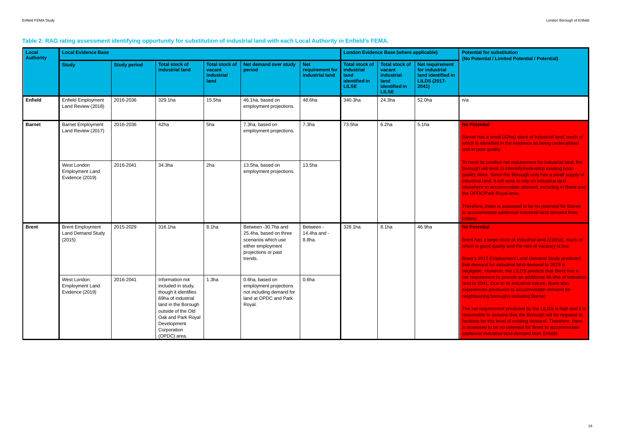has a small (42ha) stock of industrial land, much of h is identified in the evidence as being underutilised in poor quality.

neet its positive net requirement for industrial land, the ugh will seek to intensify/redevelop existing poority stock. Since the Borough only has a small supply of strial land, it will seek to rely on industrial land where to accommodate demand, including in Brent and OPDC/Park Royal area.

efore, there is assessed to be no potential for Barnet commodate additional industrial land demand from  $ld.$ 

#### **a** otential

t has a large stock of industrial land (316ha), much of h is good quality and the rate of vacancy is low.

t's 2015 Employment Land Demand Study predicted demand for industrial land demand to 2029 is gible. However, the LILDS predicts that Brent has a equirement to provide an additional 46.9ha of industrial to 2041. Due to its industrial nature, Brent also riences pressures to accommodate demand for nbouring boroughs including Barnet.

net requirement predicted by the LILDS is high and it is onable to assume that the Borough will be required to tate for this level of existing demand. Therefore, there sessed to be no potential for Brent to accommodate ional industrial land demand from Enfield.

#### **Table 2: RAG rating assessment identifying opportunity for substitution of industrial land with each Local Authority in Enfield's FEMA.**

| Local<br><b>Authority</b> | <b>Local Evidence Base</b>                                    |                     |                                                                                                                                                                                                      |                                                              | <b>London Evidence Base (where applicable)</b>                                                                              | <b>Potential for substitution</b><br>(No Potential / Limited Po |                                                                              |                                                                                        |                                                                                                |                                                                                                                                                                                                                                                                                   |
|---------------------------|---------------------------------------------------------------|---------------------|------------------------------------------------------------------------------------------------------------------------------------------------------------------------------------------------------|--------------------------------------------------------------|-----------------------------------------------------------------------------------------------------------------------------|-----------------------------------------------------------------|------------------------------------------------------------------------------|----------------------------------------------------------------------------------------|------------------------------------------------------------------------------------------------|-----------------------------------------------------------------------------------------------------------------------------------------------------------------------------------------------------------------------------------------------------------------------------------|
|                           | <b>Study</b>                                                  | <b>Study period</b> | <b>Total stock of</b><br>industrial land                                                                                                                                                             | <b>Total stock of</b><br>vacant<br><b>industrial</b><br>land | Net demand over study<br>period                                                                                             | <b>Net</b><br>requirement for<br>industrial land                | <b>Total stock of</b><br>industrial<br>land<br>identified in<br><b>LILSE</b> | <b>Total stock of</b><br>vacant<br>industrial<br>land<br>identified in<br><b>LILSE</b> | <b>Net requirement</b><br>for industrial<br>land identified in<br><b>LILDS (2017-</b><br>2041) |                                                                                                                                                                                                                                                                                   |
| <b>Enfield</b>            | <b>Enfield Employment</b><br>Land Review (2018)               | 2016-2036           | 329.1ha                                                                                                                                                                                              | 15.5ha                                                       | 46.1ha, based on<br>employment projections.                                                                                 | 48.6ha                                                          | 340.3ha                                                                      | 24.3ha                                                                                 | 52.0ha                                                                                         | n/a                                                                                                                                                                                                                                                                               |
| <b>Barnet</b>             | <b>Barnet Employment</b><br>Land Review (2017)                | 2016-2036           | 42ha                                                                                                                                                                                                 | 5ha                                                          | 7.3ha, based on<br>employment projections.                                                                                  | 7.3 <sub>ha</sub>                                               | 73.5ha                                                                       | 6.2ha                                                                                  | 5.1 <sub>ha</sub>                                                                              | <b>No Potential</b><br>Barnet has a small (42ha)<br>which is identified in the ev<br>and in poor quality.                                                                                                                                                                         |
|                           | West London<br><b>Employment Land</b><br>Evidence (2019)      | 34.3ha<br>2016-2041 |                                                                                                                                                                                                      | 2ha                                                          | 13.5ha, based on<br>employment projections.                                                                                 | 13.5ha                                                          |                                                                              |                                                                                        |                                                                                                | To meet its positive net red<br>Borough will seek to intens<br>quality stock. Since the Bo<br>industrial land, it will seek t<br>elsewhere to accommodate<br>the OPDC/Park Royal area                                                                                             |
|                           |                                                               |                     |                                                                                                                                                                                                      |                                                              |                                                                                                                             |                                                                 |                                                                              |                                                                                        |                                                                                                | Therefore, there is assesse<br>to accommodate additiona<br>Enfield.                                                                                                                                                                                                               |
| <b>Brent</b>              | <b>Brent Employment</b><br><b>Land Demand Study</b><br>(2015) | 2015-2029           | 316.1ha                                                                                                                                                                                              | 8.1ha                                                        | Between -30.7ha and<br>25.4ha, based on three<br>scenarios which use<br>either employment<br>projections or past<br>trends. | Between -<br>14.4ha and -<br>8.8ha.                             | 328.1ha                                                                      | 8.1ha                                                                                  | 46.9ha                                                                                         | <b>No Potential</b><br>Brent has a large stock of<br>which is good quality and t<br><b>Brent's 2015 Employment</b><br>that demand for industrial I<br>negligible. However, the LI                                                                                                 |
|                           | West London<br><b>Employment Land</b><br>Evidence (2019)      | 2016-2041           | Information not<br>included in study,<br>though it identifies<br>69ha of industrial<br>land in the Borough<br>outside of the Old<br>Oak and Park Royal<br>Development<br>Corporation<br>(OPDC) area. | 1.3 <sub>ha</sub>                                            | 0.6ha, based on<br>employment projections<br>not including demand for<br>land at OPDC and Park<br>Royal.                    | 0.6 <sub>ha</sub>                                               |                                                                              |                                                                                        |                                                                                                | net requirement to provide<br>land to 2041. Due to its inc<br>experiences pressures to a<br>neighbouring boroughs inc<br>The net requirement predio<br>reasonable to assume that<br>facilitate for this level of ex<br>is assessed to be no poten<br>additional industrial land d |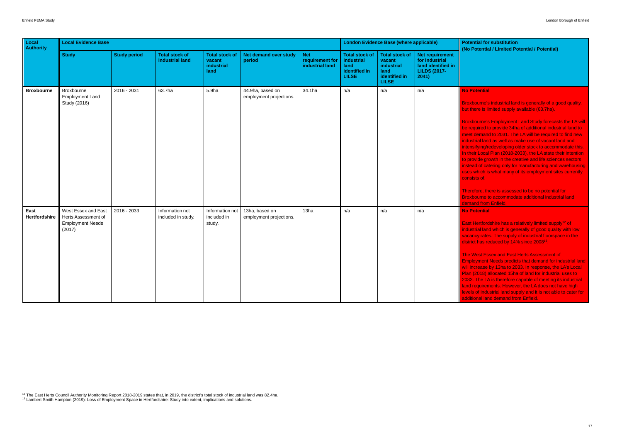xbourne's industrial land is generally of a good quality, there is limited supply available (63.7ha).

xbourne's Employment Land Study forecasts the LA will required to provide 34ha of additional industrial land to et demand to 2031. The LA will be required to find new ustrial land as well as make use of vacant land and nsifying/redeveloping older stock to accommodate this. heir Local Plan (2018-2033), the LA state their intention provide growth in the creative and life sciences sectors lead of catering only for manufacturing and warehousing is which is what many of its employment sites currently sists of.

erefore, there is assessed to be no potential for kbourne to accommodate additional industrial land nand from Enfield.

East Hertfordshire has a relatively limited supply<sup>12</sup> of ustrial land which is generally of good quality with low ancy rates. The supply of industrial floorspace in the district has reduced by 14% since 2008<sup>13</sup>.

West Essex and East Herts Assessment of Iovment Needs predicts that demand for industrial land ncrease by 13ha to 2033. In response, the LA's Local (2018) allocated 15ha of land for industrial uses to 3. The LA is therefore capable of meeting its industrial I requirements. However, the LA does not have high Is of industrial land supply and it is not able to cater for tional land demand from Enfield.

| Local<br><b>Authority</b> | <b>Local Evidence Base</b>                                                      |                     |                                          |                                                       | <b>London Evidence Base (where applicable)</b> |                                                  | <b>Potential for substitution</b><br>(No Potential / Limited Po                     |                                                                                        |                                                                                         |                                                                                                                                                                                                                                                                                                                                                                                                                                                                                           |
|---------------------------|---------------------------------------------------------------------------------|---------------------|------------------------------------------|-------------------------------------------------------|------------------------------------------------|--------------------------------------------------|-------------------------------------------------------------------------------------|----------------------------------------------------------------------------------------|-----------------------------------------------------------------------------------------|-------------------------------------------------------------------------------------------------------------------------------------------------------------------------------------------------------------------------------------------------------------------------------------------------------------------------------------------------------------------------------------------------------------------------------------------------------------------------------------------|
|                           | <b>Study</b>                                                                    | <b>Study period</b> | <b>Total stock of</b><br>industrial land | <b>Total stock of</b><br>vacant<br>industrial<br>land | Net demand over study<br>period                | <b>Net</b><br>requirement for<br>industrial land | <b>Total stock of</b><br><b>industrial</b><br>land<br>identified in<br><b>LILSE</b> | <b>Total stock of</b><br>vacant<br>industrial<br>land<br>identified in<br><b>LILSE</b> | Net requirement<br>for industrial<br>land identified in<br><b>LILDS (2017-</b><br>2041) |                                                                                                                                                                                                                                                                                                                                                                                                                                                                                           |
| <b>Broxbourne</b>         | Broxbourne<br><b>Employment Land</b><br>Study (2016)                            | 2016 - 2031         | 63.7ha                                   | 5.9ha                                                 | 44.9ha, based on<br>employment projections.    | 34.1ha                                           | n/a                                                                                 | n/a                                                                                    | n/a                                                                                     | <b>No Potential</b><br><b>Broxbourne's industrial lan</b><br>but there is limited supply a<br><b>Broxbourne's Employment</b><br>be required to provide 34h<br>meet demand to 2031. The<br>industrial land as well as m<br>intensifying/redeveloping c<br>In their Local Plan (2018-2<br>to provide growth in the cre<br>instead of catering only for<br>uses which is what many c<br>consists of.<br>Therefore, there is assess<br><b>Broxbourne to accommoda</b><br>demand from Enfield. |
| East<br>Hertfordshire     | West Essex and East<br>Herts Assessment of<br><b>Employment Needs</b><br>(2017) | 2016 - 2033         | Information not<br>included in study.    | Information not<br>included in<br>study.              | 13ha, based on<br>employment projections.      | 13ha                                             | n/a                                                                                 | n/a                                                                                    | n/a                                                                                     | <b>No Potential</b><br>East Hertfordshire has a re<br>industrial land which is ger<br>vacancy rates. The supply<br>district has reduced by 149<br><b>The West Essex and East</b><br><b>Employment Needs predic</b><br>will increase by 13ha to 20<br>Plan (2018) allocated 15ha<br>2033. The LA is therefore o<br>land requirements. Howev<br>levels of industrial land sup<br>additional land demand fro                                                                                 |

<sup>&</sup>lt;sup>12</sup> The East Herts Council Authority Monitoring Report 2018-2019 states that, in 2019, the district's total stock of industrial land was 82.4ha.

<sup>13</sup> Lambert Smith Hampton (2019): Loss of Employment Space in Hertfordshire: Study into extent, implications and solutions.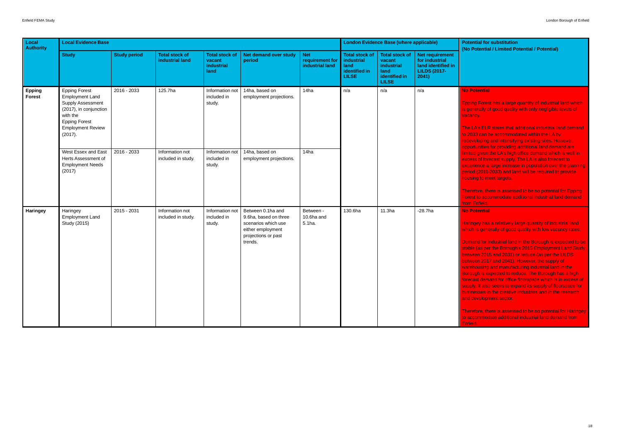#### **Potential**

bing Forest has a large quantity of industrial land which enerally of good quality with only negligible levels of ancy.

**LA's ELR states that additional industrial land demand 2033 can be accommodated within the LA by** eveloping and intensifying existing sites. However, optunities for providing additional land demand are ited given the LA's high office demand which is well in cess of forecast supply. The LA is also forecast to perience a large increase in population over the planning iod (2011-2033) and land will be required to provide ising to meet targets.

erefore, there is assessed to be no potential for Epping est to accommodate additional industrial land demand i Enfield.

#### **Potential**

ingey has a relatively large quantity of industrial land ch is generally of good quality with low vacancy rates.

mand for industrial land in the Borough is expected to be ble (as per the Borough's 2015 Employment Land Study ween 2015 and 2031) or reduce (as per the LILDS ween 2017 and 2041). However, the supply of rehousing and manufacturing industrial land in the rough is expected to reduce. The Borough has a high ecast demand for office floorspace which is in excess of oply. It also seeks to expand its supply of floorspace for linesses in the creative industries and in the research I development sector.

refore, there is assessed to be no potential for Haringey commodate additional industrial land demand from

| Local<br>Authority             | <b>Local Evidence Base</b>                                                                                                                                               |                     |                                          | <b>London Evidence Base (where applicable)</b>               | <b>Potential for substitution</b><br>(No Potential / Limited Po                                                          |                                                  |                                                                                     |                                                                                        |                                                                                                |                                                                                                                                                                                                                                                                                                                                                                                                                                                                           |
|--------------------------------|--------------------------------------------------------------------------------------------------------------------------------------------------------------------------|---------------------|------------------------------------------|--------------------------------------------------------------|--------------------------------------------------------------------------------------------------------------------------|--------------------------------------------------|-------------------------------------------------------------------------------------|----------------------------------------------------------------------------------------|------------------------------------------------------------------------------------------------|---------------------------------------------------------------------------------------------------------------------------------------------------------------------------------------------------------------------------------------------------------------------------------------------------------------------------------------------------------------------------------------------------------------------------------------------------------------------------|
|                                | <b>Study</b>                                                                                                                                                             | <b>Study period</b> | <b>Total stock of</b><br>industrial land | <b>Total stock of</b><br>vacant<br><b>industrial</b><br>land | Net demand over study<br>period                                                                                          | <b>Net</b><br>requirement for<br>industrial land | <b>Total stock of</b><br><b>industrial</b><br>land<br>identified in<br><b>LILSE</b> | <b>Total stock of</b><br>vacant<br>industrial<br>land<br>identified in<br><b>LILSE</b> | <b>Net requirement</b><br>for industrial<br>land identified in<br><b>LILDS (2017-</b><br>2041) |                                                                                                                                                                                                                                                                                                                                                                                                                                                                           |
| <b>Epping</b><br><b>Forest</b> | <b>Epping Forest</b><br><b>Employment Land</b><br>Supply Assessment<br>(2017), in conjunction<br>with the<br><b>Epping Forest</b><br><b>Employment Review</b><br>(2017). | 2016 - 2033         | 125.7ha                                  | Information not<br>included in<br>study.                     | 14ha, based on<br>employment projections.                                                                                | 14ha                                             | n/a                                                                                 | n/a                                                                                    | n/a                                                                                            | <b>No Potential</b><br><b>Epping Forest has a large</b><br>is generally of good quality<br>vacancy.<br>The LA's ELR states that a<br>to 2033 can be accommod<br>redeveloping and intensify                                                                                                                                                                                                                                                                                |
|                                | West Essex and East<br>Herts Assessment of<br><b>Employment Needs</b><br>(2017)                                                                                          | 2016 - 2033         | Information not<br>included in study.    | Information not<br>included in<br>study.                     | 14ha, based on<br>employment projections.                                                                                | 14ha                                             |                                                                                     |                                                                                        |                                                                                                | opportunities for providing<br>limited given the LA's high<br>excess of forecast supply.<br>experience a large increas<br>period (2011-2033) and lar<br>housing to meet targets.<br>Therefore, there is assess<br><b>Forest to accommodate ad</b><br>from Enfield.                                                                                                                                                                                                        |
| Haringey                       | Haringey<br><b>Employment Land</b><br>Study (2015)                                                                                                                       | 2015 - 2031         | Information not<br>included in study.    | Information not<br>included in<br>study.                     | Between 0.1ha and<br>9.6ha, based on three<br>scenarios which use<br>either employment<br>projections or past<br>trends. | Between -<br>10.6ha and<br>5.1ha.                | 130.6ha                                                                             | 11.3 <sub>ha</sub>                                                                     | $-28.7ha$                                                                                      | <b>No Potential</b><br><b>Haringey has a relatively la</b><br>which is generally of good<br><b>Demand for industrial land</b><br>stable (as per the Borough<br>between 2015 and 2031) o<br>between 2017 and 2041).<br>warehousing and manufac<br>Borough is expected to red<br>forecast demand for office<br>supply. It also seeks to exp<br>businesses in the creative<br>and development sector.<br>Therefore, there is assesse<br>to accommodate additiona<br>Enfield. |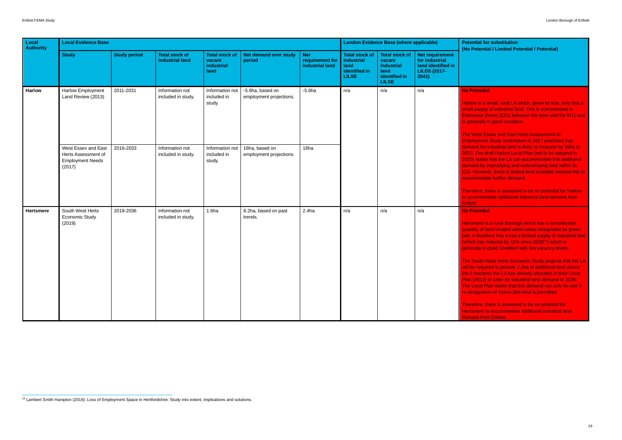low is a small, rural LA which, given its size, only has a all supply of industrial land. This is concentrated in erprise Zones (EZs) between the town and the M11 and  $\parallel$ enerally in good condition.

**West Essex and East Herts Assessment of Example 1 Findom Indertaken in 2017 predicted that** nand for industrial land is likely to increase by 16ha to 3. The draft Harlow Local Plan (set to be adopted in 20) states that the LA can accommodate this additional nand by intensifying and redeveloping land within its . However, there is limited land available beyond this to commodate further demand.

refore, there is assessed to be no potential for Harlow ccommodate additional industrial land demand from Enfield.

#### **Potential**

tsmere is a rural Borough which has a considerable antity of land located within areas designated as green  $b$ . It therefore has a has a limited supply of industrial land (which has reduced by 11% since 2008 14 ) which is erally in good condition with low vacancy levels.

South-West Herts Economic Study projects that the LA be required to provide 2.4ha of additional land above 6 hectares the LA has already allocated in their Local  $(2012)$  to cater for industrial land demand to 2036. Local Plan states that this demand can only be met if esignation of Green Belt land is permitted.

refore, there is assessed to be no potential for smere to accommodate additional industrial land and from Enfield.

| Local<br><b>Authority</b> | <b>Local Evidence Base</b>                                            |                        |                                                          | <b>London Evidence Base (where applicable)</b>              | <b>Potential for substitution</b><br>(No Potential / Limited Po |                                                  |                                                                              |                                                                                        |                                                                                         |                                                                                                                                                                                                                                                                                                                                                                                                                                                           |
|---------------------------|-----------------------------------------------------------------------|------------------------|----------------------------------------------------------|-------------------------------------------------------------|-----------------------------------------------------------------|--------------------------------------------------|------------------------------------------------------------------------------|----------------------------------------------------------------------------------------|-----------------------------------------------------------------------------------------|-----------------------------------------------------------------------------------------------------------------------------------------------------------------------------------------------------------------------------------------------------------------------------------------------------------------------------------------------------------------------------------------------------------------------------------------------------------|
|                           | <b>Study</b>                                                          | <b>Study period</b>    | <b>Total stock of</b><br>industrial land                 | <b>Total stock of</b><br>vacant<br>industrial<br>land       | <b>Net demand over study</b><br>period                          | <b>Net</b><br>requirement for<br>industrial land | <b>Total stock of</b><br>industrial<br>land<br>identified in<br><b>LILSE</b> | <b>Total stock of</b><br>vacant<br>industrial<br>land<br>identified in<br><b>LILSE</b> | Net requirement<br>for industrial<br>land identified in<br><b>LILDS (2017-</b><br>2041) |                                                                                                                                                                                                                                                                                                                                                                                                                                                           |
| <b>Harlow</b>             | <b>Harlow Employment</b><br>Land Review (2013)<br>West Essex and East | 2011-2031<br>2016-2033 | Information not<br>included in study.<br>Information not | Information not<br>included in<br>study.<br>Information not | -5.6ha, based on<br>employment projections.<br>16ha, based on   | $-5.6$ ha<br>16 <sub>ha</sub>                    | n/a                                                                          | n/a                                                                                    | n/a                                                                                     | <b>No Potential</b><br>Harlow is a small, rural LA<br>small supply of industrial la<br><b>Enterprise Zones (EZs) be</b><br>is generally in good conditi<br><b>The West Essex and East</b><br><b>Employment Study underta</b><br>demand for industrial land<br>2033. The draft Harlow Lor                                                                                                                                                                  |
|                           | Herts Assessment of<br><b>Employment Needs</b><br>(2017)              |                        | included in study.                                       | included in<br>study.                                       | employment projections.                                         |                                                  |                                                                              |                                                                                        |                                                                                         | 2020) states that the LA ca<br>demand by intensifying an<br><b>EZs. However, there is limi</b><br>accommodate further dem<br>Therefore, there is assess<br>to accommodate additiona<br>Enfield.                                                                                                                                                                                                                                                           |
| <b>Hertsmere</b>          | South West Herts<br><b>Economic Study</b><br>(2019)                   | 2018-2036              | Information not<br>included in study.                    | 1.6 <sub>ha</sub>                                           | 8.2ha, based on past<br>trends.                                 | 2.4 <sub>ha</sub>                                | n/a                                                                          | n/a                                                                                    | n/a                                                                                     | <b>No Potential</b><br>Hertsmere is a rural Borou<br>quantity of land located wit<br>belt. It therefore has a has<br>(which has reduced by 119<br>generally in good condition<br><b>The South-West Herts Ecc</b><br>will be required to provide<br>the 6 hectares the LA has<br>Plan (2012) to cater for ind<br>The Local Plan states that<br>re-designation of Green Be<br>Therefore, there is assess<br>Hertsmere to accommodat<br>demand from Enfield. |

14 Lambert Smith Hampton (2019): Loss of Employment Space in Hertfordshire: Study into extent, implications and solutions.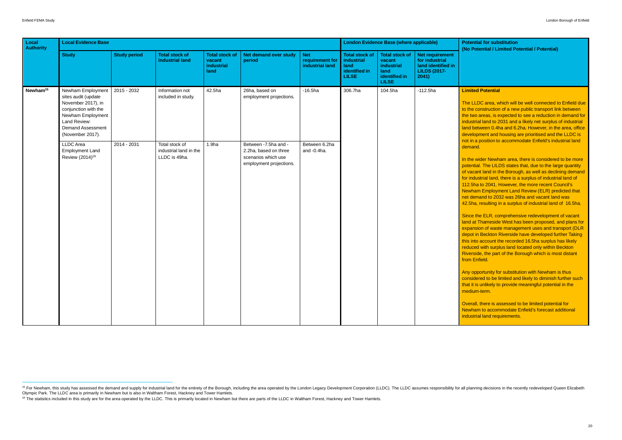#### **ited Potential**

LLDC area, which will be well connected to Enfield due he construction of a new public transport link between two areas, is expected to see a reduction in demand for ustrial land to 2031 and a likely net surplus of industrial d between 0.4ha and 6.2ha. However, in the area, office elopment and housing are prioritised and the LLDC is in a position to accommodate Enfield's industrial land and.

he wider Newham area, there is considered to be more ential. The LILDS states that, due to the large quantity acant land in the Borough, as well as declining demand industrial land, there is a surplus of industrial land of .5ha to 2041. However, the more recent Council's vham Employment Land Review (ELR) predicted that demand to 2032 was 26ha and vacant land was 5ha, resulting in a surplus of industrial land of 16.5ha.

ce the ELR, comprehensive redevelopment of vacant d at Thameside West has been proposed, and plans for ansion of waste management uses and transport (DLR ot in Beckton Riverside have developed further Taking into account the recorded 16.5ha surplus has likely uced with surplus land located only within Beckton erside, the part of the Borough which is most distant n Enfield.

opportunity for substitution with Newham is thus sidered to be limited and likely to diminish further such it is unlikely to provide meaningful potential in the dium-term.

rall, there is assessed to be limited potential for vham to accommodate Enfield's forecast additional istrial land requirements.

| Local<br><b>Authority</b> | <b>Local Evidence Base</b>                                                                                                                                           |                     |                                                           | <b>London Evidence Base (where applicable)</b>               | <b>Potential for substitution</b>                                                                |                                                  |                                                                              |                                                                                        |                                                                                                |                                                                                                                                                                                                                                                                                                                                                                                                                                                                                                                                                                                                                                                                                                                                   |
|---------------------------|----------------------------------------------------------------------------------------------------------------------------------------------------------------------|---------------------|-----------------------------------------------------------|--------------------------------------------------------------|--------------------------------------------------------------------------------------------------|--------------------------------------------------|------------------------------------------------------------------------------|----------------------------------------------------------------------------------------|------------------------------------------------------------------------------------------------|-----------------------------------------------------------------------------------------------------------------------------------------------------------------------------------------------------------------------------------------------------------------------------------------------------------------------------------------------------------------------------------------------------------------------------------------------------------------------------------------------------------------------------------------------------------------------------------------------------------------------------------------------------------------------------------------------------------------------------------|
|                           | <b>Study</b>                                                                                                                                                         | <b>Study period</b> | <b>Total stock of</b><br>industrial land                  | <b>Total stock of</b><br>vacant<br><b>industrial</b><br>land | Net demand over study<br>period                                                                  | <b>Net</b><br>requirement for<br>industrial land | <b>Total stock of</b><br>industrial<br>land<br>identified in<br><b>LILSE</b> | <b>Total stock of</b><br>vacant<br>industrial<br>land<br>identified in<br><b>LILSE</b> | <b>Net requirement</b><br>for industrial<br>land identified in<br><b>LILDS (2017-</b><br>2041) | (No Potential / Limited Po                                                                                                                                                                                                                                                                                                                                                                                                                                                                                                                                                                                                                                                                                                        |
| Newham <sup>15</sup>      | Newham Employment<br>sites audit (update<br>November 2017), in<br>conjunction with the<br>Newham Employment<br>Land Review:<br>Demand Assessment<br>(November 2017). | 2015 - 2032         | Information not<br>included in study.                     | 42.5ha                                                       | 26ha, based on<br>employment projections.                                                        | $-16.5$ ha                                       | 306.7ha                                                                      | 104.5ha                                                                                | $-112.5$ ha                                                                                    | <b>Limited Potential</b><br>The LLDC area, which will<br>to the construction of a net<br>the two areas, is expected<br>industrial land to 2031 and<br>land between 0.4ha and 6.<br>development and housing                                                                                                                                                                                                                                                                                                                                                                                                                                                                                                                        |
|                           | <b>LLDC</b> Area<br><b>Employment Land</b><br>Review (2014) <sup>16</sup>                                                                                            | 2014 - 2031         | Total stock of<br>industrial land in the<br>LLDC is 49ha. | 1.9 <sub>ha</sub>                                            | Between - 7.5ha and -<br>2.2ha, based on three<br>scenarios which use<br>employment projections. | Between 6.2ha<br>and -0.4ha.                     |                                                                              |                                                                                        |                                                                                                | not in a position to accomm<br>demand.<br>In the wider Newham area<br>potential. The LILDS states<br>of vacant land in the Borou<br>for industrial land, there is<br>112.5ha to 2041. However<br><b>Newham Employment Lan</b><br>net demand to 2032 was 2<br>42.5ha, resulting in a surpl<br>Since the ELR, compreher<br>land at Thameside West ha<br>expansion of waste manag<br>depot in Beckton Riverside<br>this into account the record<br>reduced with surplus land<br>Riverside, the part of the B<br>from Enfield.<br>Any opportunity for substitu<br>considered to be limited ar<br>that it is unlikely to provide<br>medium-term.<br>Overall, there is assessed<br>Newham to accommodate<br>industrial land requirement |

<sup>&</sup>lt;sup>15</sup> For Newham, this study has assessed the demand and supply for industrial land for the entirety of the Borough, including the area operated by the London Legacy Development Corporation (LLDC). The LLDC assumes responsi Olympic Park. The LLDC area is primarily in Newham but is also in Waltham Forest, Hackney and Tower Hamlets.

<sup>&</sup>lt;sup>16</sup> The statistics included in this study are for the area operated by the LLDC. This is primarily located in Newham but there are parts of the LLDC in Waltham Forest, Hackney and Tower Hamlets.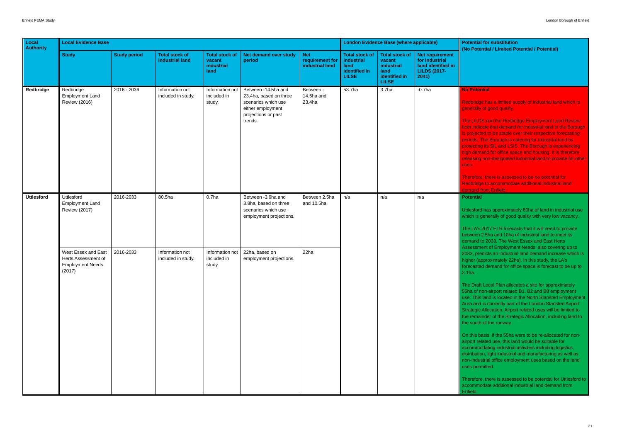Ibridge has a limited supply of industrial land which is erally of good quality.

**EXALDS** and the Redbridge Employment Land Review indicate that demand for industrial land in the Borough rojected to be stable over their respective forecasting ods. The Borough is catering for industrial land by tecting its SIL and LSIS. The Borough is experiencing demand for office space and housing. It is therefore asing non-designated industrial land to provide for other

refore, there is assessed to be no potential for dbridge to accommodate additional industrial land and from Enfield.

esford has approximately 80ha of land in industrial use ch is generally of good quality with very low vacancy.

LA's 2017 ELR forecasts that it will need to provide veen 2.5ha and 10ha of industrial land to meet its and to 2033. The West Essex and East Herts essment of Employment Needs, also covering up to 3. predicts an industrial land demand increase which is ner (approximately 22ha). In this study, the LA's asted demand for office space is forecast to be up to

Draft Local Plan allocates a site for approximately a of non-airport related B1, B2 and B8 employment This land is located in the North Stansted Employment a and is currently part of the London Stansted Airport tegic Allocation. Airport related uses will be limited to remainder of the Strategic Allocation, including land to south of the runway.

this basis, if the 55ha were to be re-allocated for nonort related use, this land would be suitable for ammodating industrial activities including logistics, ribution, light industrial and manufacturing as well as industrial office employment uses based on the land s permitted.

refore, there is assessed to be potential for Uttlesford to nmodate additional industrial land demand from

| Local<br><b>Authority</b> | <b>Local Evidence Base</b>                                                      |                     |                                          | <b>London Evidence Base (where applicable)</b>        | <b>Potential for substitution</b><br>(No Potential / Limited Po                                                             |                                                  |                                                                                     |                                                                                        |                                                                                         |                                                                                                                                                                                                                                                                                                                                                                                                                                                                                                                                                                                                                               |
|---------------------------|---------------------------------------------------------------------------------|---------------------|------------------------------------------|-------------------------------------------------------|-----------------------------------------------------------------------------------------------------------------------------|--------------------------------------------------|-------------------------------------------------------------------------------------|----------------------------------------------------------------------------------------|-----------------------------------------------------------------------------------------|-------------------------------------------------------------------------------------------------------------------------------------------------------------------------------------------------------------------------------------------------------------------------------------------------------------------------------------------------------------------------------------------------------------------------------------------------------------------------------------------------------------------------------------------------------------------------------------------------------------------------------|
|                           | <b>Study</b>                                                                    | <b>Study period</b> | <b>Total stock of</b><br>industrial land | <b>Total stock of</b><br>vacant<br>industrial<br>land | <b>Net demand over study</b><br>period                                                                                      | <b>Net</b><br>requirement for<br>industrial land | <b>Total stock of</b><br><b>industrial</b><br>land<br>identified in<br><b>LILSE</b> | <b>Total stock of</b><br>vacant<br>industrial<br>land<br>identified in<br><b>LILSE</b> | Net requirement<br>for industrial<br>land identified in<br><b>LILDS (2017-</b><br>2041) |                                                                                                                                                                                                                                                                                                                                                                                                                                                                                                                                                                                                                               |
| Redbridge                 | Redbridge<br><b>Employment Land</b><br><b>Review (2016)</b>                     | $2016 - 2036$       | Information not<br>included in study.    | Information not  <br>included in<br>study.            | Between -14.5ha and<br>23.4ha, based on three<br>scenarios which use<br>either employment<br>projections or past<br>trends. | Between -<br>14.5ha and<br>23.4ha.               | 53.7ha                                                                              | 3.7 <sub>ha</sub>                                                                      | $-0.7$ ha                                                                               | <b>No Potential</b><br>Redbridge has a limited su<br>generally of good quality.<br>The LILDS and the Redbri<br>both indicate that demand<br>is projected to be stable ov<br>periods. The Borough is ca<br>protecting its SIL and LSIS<br>high demand for office spa<br>releasing non-designated i<br>uses.<br>Therefore, there is assesse<br><b>Redbridge to accommodat</b><br>demand from Enfield.                                                                                                                                                                                                                           |
| <b>Uttlesford</b>         | Uttlesford<br><b>Employment Land</b><br><b>Review (2017)</b>                    | 2016-2033           | 80.5ha                                   | 0.7 <sub>ha</sub>                                     | Between -3.6ha and<br>3.8ha, based on three<br>scenarios which use<br>employment projections.                               | Between 2.5ha<br>and 10.5ha.                     | n/a                                                                                 | n/a                                                                                    | n/a                                                                                     | <b>Potential</b><br>Uttlesford has approximate<br>which is generally of good<br>The LA's 2017 ELR foreca<br>between 2.5ha and 10ha o<br>demand to 2033. The Wes                                                                                                                                                                                                                                                                                                                                                                                                                                                               |
|                           | West Essex and East<br>Herts Assessment of<br><b>Employment Needs</b><br>(2017) | 2016-2033           | Information not<br>included in study.    | Information not<br>included in<br>study.              | 22ha, based on<br>employment projections.                                                                                   | 22ha                                             |                                                                                     |                                                                                        |                                                                                         | <b>Assessment of Employmer</b><br>2033, predicts an industria<br>higher (approximately 22ha<br>forecasted demand for offi-<br>2.1ha.<br>The Draft Local Plan alloca<br>55ha of non-airport related<br>use. This land is located in<br>Area and is currently part of<br><b>Strategic Allocation. Airpor</b><br>the remainder of the Strate<br>the south of the runway.<br>On this basis, if the 55ha v<br>airport related use, this lan<br>accommodating industrial<br>distribution, light industrial<br>non-industrial office emplo<br>uses permitted.<br>Therefore, there is assess<br>accommodate additional in<br>Enfield. |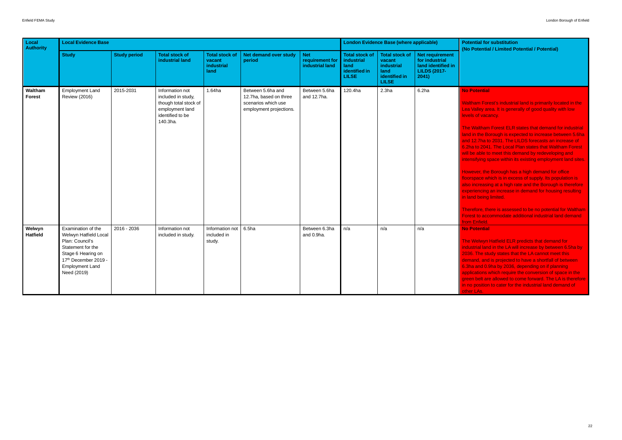#### **Potential**

ham Forest's industrial land is primarily located in the Valley area. It is generally of good quality with low ls of vacancy.

Waltham Forest ELR states that demand for industrial in the Borough is expected to increase between 5.6ha 12.7ha to 2031. The LILDS forecasts an increase of a to 2041. The Local Plan states that Waltham Forest be able to meet this demand by redeveloping and isifying space within its existing employment land sites.

vever, the Borough has a high demand for office rspace which is in excess of supply. Its population is increasing at a high rate and the Borough is therefore riencing an increase in demand for housing resulting in being limited.

efore, there is assessed to be no potential for Waltham st to accommodate additional industrial land demand Enfield.

#### <sup>2</sup> otential

Welwyn Hatfield ELR predicts that demand for strial land in the LA will increase by between 6.5ha by  $3.$  The study states that the LA cannot meet this and, and is projected to have a shortfall of between a and 0.9ha by 2036, depending on if planning cations which require the conversion of space in the n belt are allowed to come forward. The LA is therefore position to cater for the industrial land demand of  $LAS.$ 

| Local<br><b>Authority</b> | <b>Local Evidence Base</b>                                                                                                                                                 |                     |                                                                                                                   | <b>London Evidence Base (where applicable)</b>        | <b>Potential for substitution</b><br>(No Potential / Limited Po                               |                                                  |                                                                              |                                                                                        |                                                                                         |                                                                                                                                                                                                                                                                                                                                                                                                                                                                                                                                              |
|---------------------------|----------------------------------------------------------------------------------------------------------------------------------------------------------------------------|---------------------|-------------------------------------------------------------------------------------------------------------------|-------------------------------------------------------|-----------------------------------------------------------------------------------------------|--------------------------------------------------|------------------------------------------------------------------------------|----------------------------------------------------------------------------------------|-----------------------------------------------------------------------------------------|----------------------------------------------------------------------------------------------------------------------------------------------------------------------------------------------------------------------------------------------------------------------------------------------------------------------------------------------------------------------------------------------------------------------------------------------------------------------------------------------------------------------------------------------|
|                           | <b>Study</b>                                                                                                                                                               | <b>Study period</b> | <b>Total stock of</b><br>industrial land                                                                          | <b>Total stock of</b><br>vacant<br>industrial<br>land | Net demand over study<br>period                                                               | <b>Net</b><br>requirement for<br>industrial land | <b>Total stock of</b><br>industrial<br>land<br>identified in<br><b>LILSE</b> | <b>Total stock of</b><br>vacant<br>industrial<br>land<br>identified in<br><b>LILSE</b> | Net requirement<br>for industrial<br>land identified in<br><b>LILDS (2017-</b><br>2041) |                                                                                                                                                                                                                                                                                                                                                                                                                                                                                                                                              |
| Waltham<br>Forest         | <b>Employment Land</b><br><b>Review (2016)</b>                                                                                                                             | 2015-2031           | Information not<br>included in study,<br>though total stock of<br>employment land<br>identified to be<br>140.3ha. | 1.64ha                                                | Between 5.6ha and<br>12.7ha, based on three<br>scenarios which use<br>employment projections. | Between 5.6ha<br>and 12.7ha.                     | 120.4ha                                                                      | 2.3 <sub>ha</sub>                                                                      | 6.2 <sub>ha</sub>                                                                       | <b>No Potential</b><br><b>Waltham Forest's industria</b><br>Lea Valley area. It is gener<br>levels of vacancy.<br><b>The Waltham Forest ELR (</b><br>land in the Borough is expe<br>and 12.7ha to 2031. The L<br>6.2ha to 2041. The Local F<br>will be able to meet this de<br>intensifying space within its<br>However, the Borough has<br>floorspace which is in exce<br>also increasing at a high ra<br>experiencing an increase in<br>in land being limited.<br>Therefore, there is assesse<br>Forest to accommodate ad<br>from Enfield. |
| Welwyn<br><b>Hatfield</b> | Examination of the<br>Welwyn Hatfield Local<br>Plan: Council's<br>Statement for the<br>Stage 6 Hearing on<br>17th December 2019 -<br><b>Employment Land</b><br>Need (2019) | 2016 - 2036         | Information not<br>included in study.                                                                             | Information not<br>included in<br>study.              | 6.5 <sub>ha</sub>                                                                             | Between 6.3ha<br>and 0.9ha.                      | n/a                                                                          | n/a                                                                                    | n/a                                                                                     | <b>No Potential</b><br>The Welwyn Hatfield ELR<br>industrial land in the LA wil<br>2036. The study states tha<br>demand, and is projected t<br>6.3ha and 0.9ha by 2036,<br>applications which require<br>green belt are allowed to c<br>in no position to cater for th<br>other LAs.                                                                                                                                                                                                                                                         |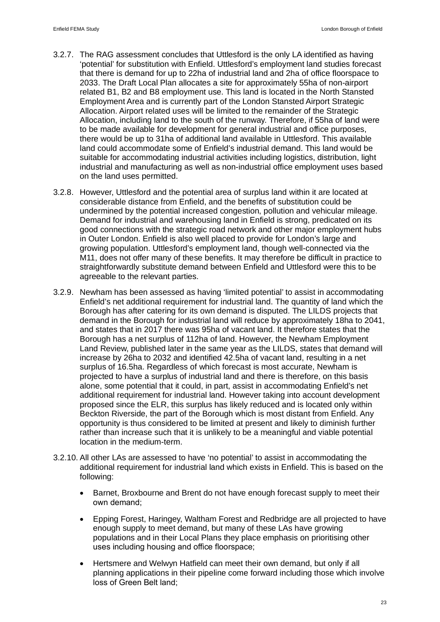- 3.2.7. The RAG assessment concludes that Uttlesford is the only LA identified as having 'potential' for substitution with Enfield. Uttlesford's employment land studies forecast that there is demand for up to 22ha of industrial land and 2ha of office floorspace to 2033. The Draft Local Plan allocates a site for approximately 55ha of non-airport related B1, B2 and B8 employment use. This land is located in the North Stansted Employment Area and is currently part of the London Stansted Airport Strategic Allocation. Airport related uses will be limited to the remainder of the Strategic Allocation, including land to the south of the runway. Therefore, if 55ha of land were to be made available for development for general industrial and office purposes, there would be up to 31ha of additional land available in Uttlesford. This available land could accommodate some of Enfield's industrial demand. This land would be suitable for accommodating industrial activities including logistics, distribution, light industrial and manufacturing as well as non-industrial office employment uses based on the land uses permitted.
- 3.2.8. However, Uttlesford and the potential area of surplus land within it are located at considerable distance from Enfield, and the benefits of substitution could be undermined by the potential increased congestion, pollution and vehicular mileage. Demand for industrial and warehousing land in Enfield is strong, predicated on its good connections with the strategic road network and other major employment hubs in Outer London. Enfield is also well placed to provide for London's large and growing population. Uttlesford's employment land, though well-connected via the M11, does not offer many of these benefits. It may therefore be difficult in practice to straightforwardly substitute demand between Enfield and Uttlesford were this to be agreeable to the relevant parties.
- 3.2.9. Newham has been assessed as having 'limited potential' to assist in accommodating Enfield's net additional requirement for industrial land. The quantity of land which the Borough has after catering for its own demand is disputed. The LILDS projects that demand in the Borough for industrial land will reduce by approximately 18ha to 2041, and states that in 2017 there was 95ha of vacant land. It therefore states that the Borough has a net surplus of 112ha of land. However, the Newham Employment Land Review, published later in the same year as the LILDS, states that demand will increase by 26ha to 2032 and identified 42.5ha of vacant land, resulting in a net surplus of 16.5ha. Regardless of which forecast is most accurate, Newham is projected to have a surplus of industrial land and there is therefore, on this basis alone, some potential that it could, in part, assist in accommodating Enfield's net additional requirement for industrial land. However taking into account development proposed since the ELR, this surplus has likely reduced and is located only within Beckton Riverside, the part of the Borough which is most distant from Enfield. Any opportunity is thus considered to be limited at present and likely to diminish further rather than increase such that it is unlikely to be a meaningful and viable potential location in the medium-term.
- 3.2.10. All other LAs are assessed to have 'no potential' to assist in accommodating the additional requirement for industrial land which exists in Enfield. This is based on the following:
	- · Barnet, Broxbourne and Brent do not have enough forecast supply to meet their own demand;
	- · Epping Forest, Haringey, Waltham Forest and Redbridge are all projected to have enough supply to meet demand, but many of these LAs have growing populations and in their Local Plans they place emphasis on prioritising other uses including housing and office floorspace;
	- · Hertsmere and Welwyn Hatfield can meet their own demand, but only if all planning applications in their pipeline come forward including those which involve loss of Green Belt land;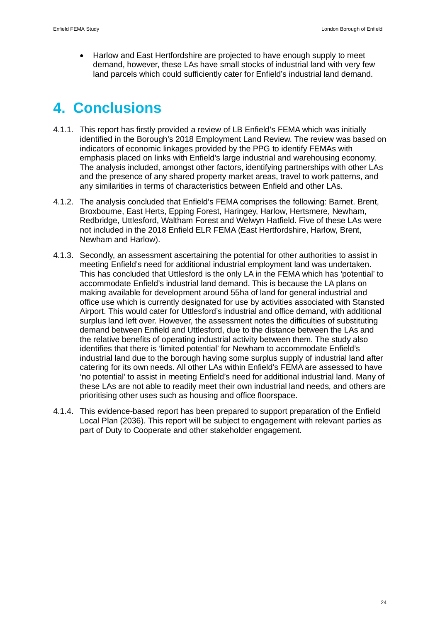· Harlow and East Hertfordshire are projected to have enough supply to meet demand, however, these LAs have small stocks of industrial land with very few land parcels which could sufficiently cater for Enfield's industrial land demand.

# **4. Conclusions**

- 4.1.1. This report has firstly provided a review of LB Enfield's FEMA which was initially identified in the Borough's 2018 Employment Land Review. The review was based on indicators of economic linkages provided by the PPG to identify FEMAs with emphasis placed on links with Enfield's large industrial and warehousing economy. The analysis included, amongst other factors, identifying partnerships with other LAs and the presence of any shared property market areas, travel to work patterns, and any similarities in terms of characteristics between Enfield and other LAs.
- 4.1.2. The analysis concluded that Enfield's FEMA comprises the following: Barnet. Brent, Broxbourne, East Herts, Epping Forest, Haringey, Harlow, Hertsmere, Newham, Redbridge, Uttlesford, Waltham Forest and Welwyn Hatfield. Five of these LAs were not included in the 2018 Enfield ELR FEMA (East Hertfordshire, Harlow, Brent, Newham and Harlow).
- 4.1.3. Secondly, an assessment ascertaining the potential for other authorities to assist in meeting Enfield's need for additional industrial employment land was undertaken. This has concluded that Uttlesford is the only LA in the FEMA which has 'potential' to accommodate Enfield's industrial land demand. This is because the LA plans on making available for development around 55ha of land for general industrial and office use which is currently designated for use by activities associated with Stansted Airport. This would cater for Uttlesford's industrial and office demand, with additional surplus land left over. However, the assessment notes the difficulties of substituting demand between Enfield and Uttlesford, due to the distance between the LAs and the relative benefits of operating industrial activity between them. The study also identifies that there is 'limited potential' for Newham to accommodate Enfield's industrial land due to the borough having some surplus supply of industrial land after catering for its own needs. All other LAs within Enfield's FEMA are assessed to have 'no potential' to assist in meeting Enfield's need for additional industrial land. Many of these LAs are not able to readily meet their own industrial land needs, and others are prioritising other uses such as housing and office floorspace.
- 4.1.4. This evidence-based report has been prepared to support preparation of the Enfield Local Plan (2036). This report will be subject to engagement with relevant parties as part of Duty to Cooperate and other stakeholder engagement.